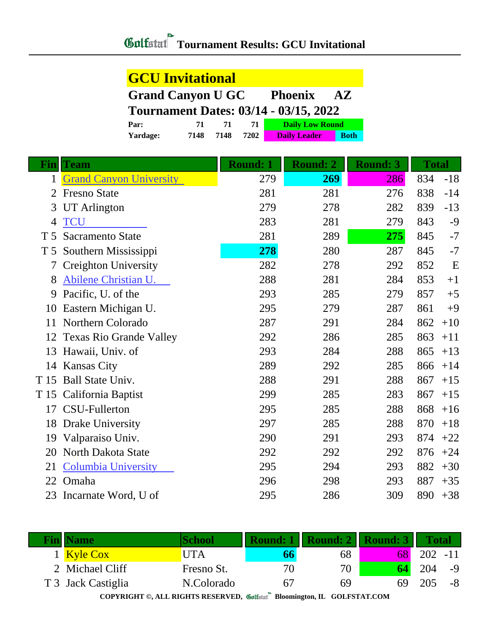## **Tournament Results: GCU Invitational**

| <b>GCU Invitational</b>                                               |                                          |      |      |                     |             |  |  |  |
|-----------------------------------------------------------------------|------------------------------------------|------|------|---------------------|-------------|--|--|--|
| <b>Grand Canyon U GC</b><br><b>Phoenix</b><br>$\mathbf{A} \mathbf{Z}$ |                                          |      |      |                     |             |  |  |  |
| <b>Tournament Dates: 03/14 - 03/15, 2022</b>                          |                                          |      |      |                     |             |  |  |  |
| Par:                                                                  | <b>Daily Low Round</b><br>71<br>71<br>71 |      |      |                     |             |  |  |  |
| Yardage:                                                              | 7148                                     | 7148 | 7202 | <b>Daily Leader</b> | <b>Both</b> |  |  |  |

| Fin            | <b>Team</b>                    | <b>Round: 1</b> | <b>Round: 2</b> | <b>Round: 3</b> | <b>Total</b> |       |
|----------------|--------------------------------|-----------------|-----------------|-----------------|--------------|-------|
| 1              | <b>Grand Canyon University</b> | 279             | 269             | 286             | 834          | $-18$ |
| $\overline{2}$ | <b>Fresno State</b>            | 281             | 281             | 276             | 838          | $-14$ |
| 3              | <b>UT</b> Arlington            | 279             | 278             | 282             | 839          | $-13$ |
| 4              | <b>TCU</b>                     | 283             | 281             | 279             | 843          | $-9$  |
| T <sub>5</sub> | <b>Sacramento State</b>        | 281             | 289             | 275             | 845          | $-7$  |
| T <sub>5</sub> | Southern Mississippi           | 278             | 280             | 287             | 845          | $-7$  |
|                | <b>Creighton University</b>    | 282             | 278             | 292             | 852          | E     |
| 8              | Abilene Christian U.           | 288             | 281             | 284             | 853          | $+1$  |
| 9              | Pacific, U. of the             | 293             | 285             | 279             | 857          | $+5$  |
| 10             | Eastern Michigan U.            | 295             | 279             | 287             | 861          | $+9$  |
| 11             | Northern Colorado              | 287             | 291             | 284             | 862          | $+10$ |
| 12             | <b>Texas Rio Grande Valley</b> | 292             | 286             | 285             | 863          | $+11$ |
| 13             | Hawaii, Univ. of               | 293             | 284             | 288             | 865          | $+13$ |
|                | 14 Kansas City                 | 289             | 292             | 285             | 866          | $+14$ |
| T 15           | <b>Ball State Univ.</b>        | 288             | 291             | 288             | 867          | $+15$ |
| T 15           | California Baptist             | 299             | 285             | 283             | 867          | $+15$ |
| 17             | CSU-Fullerton                  | 295             | 285             | 288             | 868          | $+16$ |
| 18             | <b>Drake University</b>        | 297             | 285             | 288             | 870          | $+18$ |
| 19             | Valparaiso Univ.               | 290             | 291             | 293             | 874          | $+22$ |
| 20             | North Dakota State             | 292             | 292             | 292             | 876          | $+24$ |
| 21             | <b>Columbia University</b>     | 295             | 294             | 293             | 882          | $+30$ |
| 22             | Omaha                          | 296             | 298             | 293             | 887          | $+35$ |
| 23             | Incarnate Word, U of           | 295             | 286             | 309             | 890          | $+38$ |

| <b>Fin  Name</b>   | School     | Round: 1       | Ш<br>Round: 2   Round: 3 |     | <b>Total</b> |      |
|--------------------|------------|----------------|--------------------------|-----|--------------|------|
| 1 Kyle Cox         | JTA        | 66             | 68                       | 681 | $202 - 11$   |      |
| 2 Michael Cliff    | Fresno St. | 70             | 70                       |     | 204          | $-9$ |
| T 3 Jack Castiglia | N.Colorado | 6 <sub>1</sub> | 69                       | 69  | 205          | -8   |
|                    |            |                |                          |     |              |      |

Ţ

**COPYRIGHT ©, ALL RIGHTS RESERVED, Bloomington, IL GOLFSTAT.COM**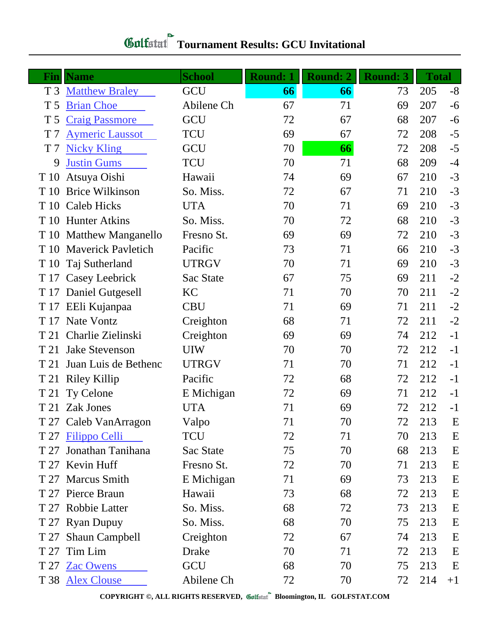| Fin<br>T <sub>3</sub> | <b>Name</b><br><b>Matthew Braley</b> | <b>School</b><br>GCU | <b>Round: 1</b><br>66 | <b>Round: 2</b><br>66 | <b>Round: 3</b><br>73 | <b>Total</b><br>205 | $-8$ |
|-----------------------|--------------------------------------|----------------------|-----------------------|-----------------------|-----------------------|---------------------|------|
| T <sub>5</sub>        | <b>Brian Choe</b>                    | Abilene Ch           | 67                    | 71                    | 69                    | 207                 | $-6$ |
| T <sub>5</sub>        | <b>Craig Passmore</b>                | GCU                  | 72                    | 67                    | 68                    | 207                 | $-6$ |
| T <sub>7</sub>        | <b>Aymeric Laussot</b>               | <b>TCU</b>           | 69                    | 67                    | 72                    | 208                 | $-5$ |
| T <sub>7</sub>        | <b>Nicky Kling</b>                   | GCU                  | 70                    | 66                    | 72                    | 208                 | $-5$ |
| 9                     | <b>Justin Gums</b>                   | <b>TCU</b>           | 70                    | 71                    | 68                    | 209                 | $-4$ |
| T 10                  | Atsuya Oishi                         | Hawaii               | 74                    | 69                    | 67                    | 210                 | $-3$ |
| T 10                  | <b>Brice Wilkinson</b>               | So. Miss.            | 72                    | 67                    | 71                    | 210                 | $-3$ |
| T 10                  | <b>Caleb Hicks</b>                   | <b>UTA</b>           | 70                    | 71                    | 69                    | 210                 | $-3$ |
|                       | T 10 Hunter Atkins                   | So. Miss.            | 70                    | 72                    | 68                    | 210                 | $-3$ |
|                       | T 10 Matthew Manganello              | Fresno St.           | 69                    | 69                    | 72                    | 210                 | $-3$ |
|                       | T 10 Maverick Pavletich              | Pacific              | 73                    | 71                    | 66                    | 210                 | $-3$ |
| T 10                  | Taj Sutherland                       | <b>UTRGV</b>         | 70                    | 71                    | 69                    | 210                 | $-3$ |
|                       | T 17 Casey Leebrick                  | Sac State            | 67                    | 75                    | 69                    | 211                 | $-2$ |
|                       | T 17 Daniel Gutgesell                | KC                   | 71                    | 70                    | 70                    | 211                 | $-2$ |
|                       | T 17 EEli Kujanpaa                   | <b>CBU</b>           | 71                    | 69                    | 71                    | 211                 | $-2$ |
|                       | T 17 Nate Vontz                      | Creighton            | 68                    | 71                    | 72                    | 211                 | $-2$ |
| T 21                  | Charlie Zielinski                    | Creighton            | 69                    | 69                    | 74                    | 212                 | $-1$ |
| T 21                  | <b>Jake Stevenson</b>                | <b>UIW</b>           | 70                    | 70                    | 72                    | 212                 | $-1$ |
| T 21                  | Juan Luis de Bethenc                 | <b>UTRGV</b>         | 71                    | 70                    | 71                    | 212                 | $-1$ |
|                       | T 21 Riley Killip                    | Pacific              | 72                    | 68                    | 72                    | 212                 | $-1$ |
| T 21                  | Ty Celone                            | E Michigan           | 72                    | 69                    | 71                    | 212                 | $-1$ |
| T 21                  | Zak Jones                            | <b>UTA</b>           | 71                    | 69                    | 72                    | 212                 | $-1$ |
|                       | T 27 Caleb VanArragon                | Valpo                | 71                    | 70                    | 72                    | 213                 | E    |
|                       | T 27 Filippo Celli                   | <b>TCU</b>           | 72                    | 71                    | 70                    | 213                 | E    |
| T 27                  | Jonathan Tanihana                    | Sac State            | 75                    | 70                    | 68                    | 213                 | E    |
|                       | T 27 Kevin Huff                      | Fresno St.           | 72                    | 70                    | 71                    | 213                 | E    |
|                       | T 27 Marcus Smith                    | E Michigan           | 71                    | 69                    | 73                    | 213                 | E    |
|                       | T 27 Pierce Braun                    | Hawaii               | 73                    | 68                    | 72                    | 213                 | E    |
|                       | T 27 Robbie Latter                   | So. Miss.            | 68                    | 72                    | 73                    | 213                 | E    |
|                       | T 27 Ryan Dupuy                      | So. Miss.            | 68                    | 70                    | 75                    | 213                 | E    |
| T 27                  | Shaun Campbell                       | Creighton            | 72                    | 67                    | 74                    | 213                 | E    |
| T 27                  | Tim Lim                              | Drake                | 70                    | 71                    | 72                    | 213                 | E    |
|                       | T 27 Zac Owens                       | GCU                  | 68                    | 70                    | 75                    | 213                 | E    |
|                       | T 38 Alex Clouse                     | Abilene Ch           | 72                    | 70                    | 72                    | 214                 | $+1$ |

**COPYRIGHT ©, ALL RIGHTS RESERVED, Bloomington, IL GOLFSTAT.COM**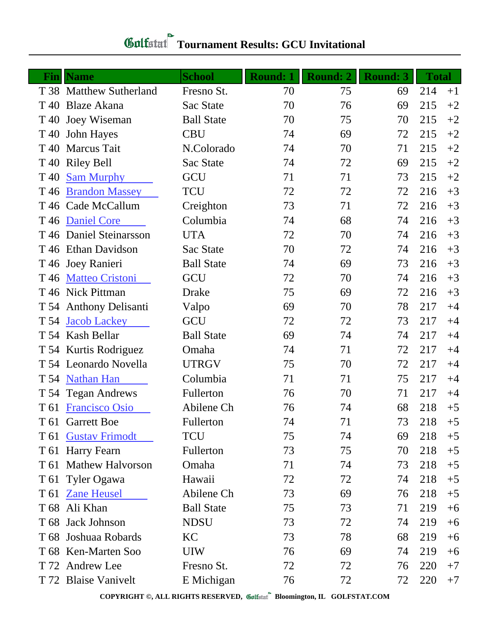## **Tournament Results: GCU Invitational**

| <b>Fin</b>      | <b>Name</b>             | <b>School</b>     | <b>Round: 1</b> | <b>Round: 2</b> | <b>Round: 3</b> | <b>Total</b> |      |
|-----------------|-------------------------|-------------------|-----------------|-----------------|-----------------|--------------|------|
|                 | T 38 Matthew Sutherland | Fresno St.        | 70              | 75              | 69              | 214          | $+1$ |
| T 40            | <b>Blaze Akana</b>      | Sac State         | 70              | 76              | 69              | 215          | $+2$ |
|                 | T 40 Joey Wiseman       | <b>Ball State</b> | 70              | 75              | 70              | 215          | $+2$ |
| T 40            | <b>John Hayes</b>       | <b>CBU</b>        | 74              | 69              | 72              | 215          | $+2$ |
| T 40            | <b>Marcus Tait</b>      | N.Colorado        | 74              | 70              | 71              | 215          | $+2$ |
| T 40            | <b>Riley Bell</b>       | Sac State         | 74              | 72              | 69              | 215          | $+2$ |
| T <sub>40</sub> | <b>Sam Murphy</b>       | GCU               | 71              | 71              | 73              | 215          | $+2$ |
| T 46            | <b>Brandon Massey</b>   | <b>TCU</b>        | 72              | 72              | 72              | 216          | $+3$ |
|                 | T 46 Cade McCallum      | Creighton         | 73              | 71              | 72              | 216          | $+3$ |
| T 46            | <b>Daniel Core</b>      | Columbia          | 74              | 68              | 74              | 216          | $+3$ |
|                 | T 46 Daniel Steinarsson | <b>UTA</b>        | 72              | 70              | 74              | 216          | $+3$ |
|                 | T 46 Ethan Davidson     | Sac State         | 70              | 72              | 74              | 216          | $+3$ |
|                 | T 46 Joey Ranieri       | <b>Ball State</b> | 74              | 69              | 73              | 216          | $+3$ |
| T 46            | <b>Matteo Cristoni</b>  | GCU               | 72              | 70              | 74              | 216          | $+3$ |
|                 | T 46 Nick Pittman       | <b>Drake</b>      | 75              | 69              | 72              | 216          | $+3$ |
|                 | T 54 Anthony Delisanti  | Valpo             | 69              | 70              | 78              | 217          | $+4$ |
| T 54            | <b>Jacob Lackey</b>     | GCU               | 72              | 72              | 73              | 217          | $+4$ |
|                 | T 54 Kash Bellar        | <b>Ball State</b> | 69              | 74              | 74              | 217          | $+4$ |
|                 | T 54 Kurtis Rodriguez   | Omaha             | 74              | 71              | 72              | 217          | $+4$ |
|                 | T 54 Leonardo Novella   | <b>UTRGV</b>      | 75              | 70              | 72              | 217          | $+4$ |
|                 | T 54 Nathan Han         | Columbia          | 71              | 71              | 75              | 217          | $+4$ |
|                 | T 54 Tegan Andrews      | Fullerton         | 76              | 70              | 71              | 217          | $+4$ |
| T 61            | <b>Francisco Osio</b>   | Abilene Ch        | 76              | 74              | 68              | 218          | $+5$ |
|                 | T 61 Garrett Boe        | Fullerton         | 74              | 71              | 73              | 218          | $+5$ |
| T 61            | <b>Gustav Frimodt</b>   | <b>TCU</b>        | 75              | 74              | 69              | 218          | $+5$ |
|                 | T 61 Harry Fearn        | Fullerton         | 73              | 75              | 70              | 218          | $+5$ |
| T 61            | <b>Mathew Halvorson</b> | Omaha             | 71              | 74              | 73              | 218          | $+5$ |
|                 | T 61 Tyler Ogawa        | Hawaii            | 72              | 72              | 74              | 218          | $+5$ |
| T 61            | <b>Zane Heusel</b>      | Abilene Ch        | 73              | 69              | 76              | 218          | $+5$ |
|                 | T 68 Ali Khan           | <b>Ball State</b> | 75              | 73              | 71              | 219          | $+6$ |
| T 68            | <b>Jack Johnson</b>     | <b>NDSU</b>       | 73              | 72              | 74              | 219          | $+6$ |
|                 | T 68 Joshuaa Robards    | KC                | 73              | 78              | 68              | 219          | $+6$ |
|                 | T 68 Ken-Marten Soo     | <b>UIW</b>        | 76              | 69              | 74              | 219          | $+6$ |
|                 | T 72 Andrew Lee         | Fresno St.        | 72              | 72              | 76              | 220          | $+7$ |
|                 | T 72 Blaise Vanivelt    | E Michigan        | 76              | 72              | 72              | 220          | $+7$ |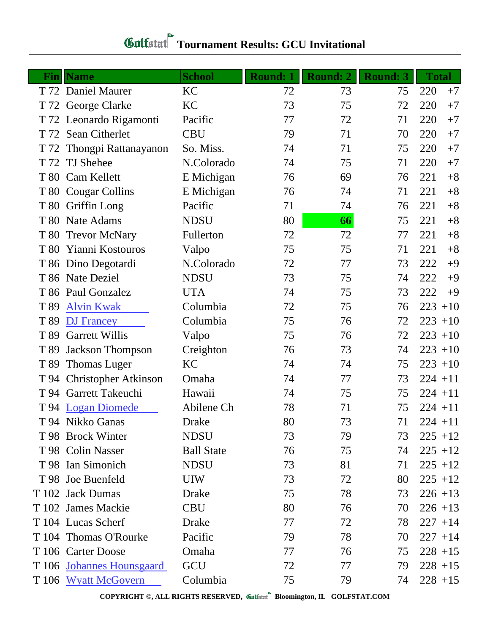| Finl | <b>Name</b>                 | <b>School</b>     | <b>Round: 1</b> | Round: 2 | <b>Round: 3</b> | <b>Total</b> |
|------|-----------------------------|-------------------|-----------------|----------|-----------------|--------------|
|      | T 72 Daniel Maurer          | KC                | 72              | 73       | 75              | 220<br>$+7$  |
|      | T 72 George Clarke          | KC                | 73              | 75       | 72              | 220<br>$+7$  |
|      | T 72 Leonardo Rigamonti     | Pacific           | 77              | 72       | 71              | 220<br>$+7$  |
|      | T 72 Sean Citherlet         | <b>CBU</b>        | 79              | 71       | 70              | 220<br>$+7$  |
|      | T 72 Thongpi Rattanayanon   | So. Miss.         | 74              | 71       | 75              | 220<br>$+7$  |
|      | T 72 TJ Shehee              | N.Colorado        | 74              | 75       | 71              | 220<br>$+7$  |
|      | T 80 Cam Kellett            | E Michigan        | 76              | 69       | 76              | 221<br>$+8$  |
|      | T 80 Cougar Collins         | E Michigan        | 76              | 74       | 71              | 221<br>$+8$  |
|      | T 80 Griffin Long           | Pacific           | 71              | 74       | 76              | 221<br>$+8$  |
|      | T 80 Nate Adams             | <b>NDSU</b>       | 80              | 66       | 75              | 221<br>$+8$  |
|      | T 80 Trevor McNary          | Fullerton         | 72              | 72       | 77              | 221<br>$+8$  |
|      | T 80 Yianni Kostouros       | Valpo             | 75              | 75       | 71              | 221<br>$+8$  |
|      | T 86 Dino Degotardi         | N.Colorado        | 72              | 77       | 73              | 222<br>$+9$  |
|      | T 86 Nate Deziel            | <b>NDSU</b>       | 73              | 75       | 74              | 222<br>$+9$  |
|      | T 86 Paul Gonzalez          | <b>UTA</b>        | 74              | 75       | 73              | 222<br>$+9$  |
| T 89 | <b>Alvin Kwak</b>           | Columbia          | 72              | 75       | 76              | $223 + 10$   |
| T 89 | <b>DJ</b> Francey           | Columbia          | 75              | 76       | 72              | $223 + 10$   |
| T 89 | <b>Garrett Willis</b>       | Valpo             | 75              | 76       | 72              | $223 + 10$   |
| T 89 | <b>Jackson Thompson</b>     | Creighton         | 76              | 73       | 74              | $223 + 10$   |
| T 89 | <b>Thomas Luger</b>         | KC                | 74              | 74       | 75              | $223 + 10$   |
| T 94 | <b>Christopher Atkinson</b> | Omaha             | 74              | 77       | 73              | $224 + 11$   |
|      | T 94 Garrett Takeuchi       | Hawaii            | 74              | 75       | 75              | $224 + 11$   |
|      | T 94 Logan Diomede          | Abilene Ch        | 78              | 71       | 75              | $224 + 11$   |
|      | T 94 Nikko Ganas            | <b>Drake</b>      | 80              | 73       | 71              | $224 + 11$   |
|      | T 98 Brock Winter           | <b>NDSU</b>       | 73              | 79       | 73              | $225 + 12$   |
|      | T 98 Colin Nasser           | <b>Ball State</b> | 76              | 75       | 74              | $225 + 12$   |
|      | T 98 Ian Simonich           | <b>NDSU</b>       | 73              | 81       | 71              | $225 + 12$   |
|      | T 98 Joe Buenfeld           | <b>UIW</b>        | 73              | 72       | 80              | $225 + 12$   |
|      | T 102 Jack Dumas            | Drake             | 75              | 78       | 73              | $226 + 13$   |
|      | T 102 James Mackie          | <b>CBU</b>        | 80              | 76       | 70              | $226 + 13$   |
|      | T 104 Lucas Scherf          | Drake             | 77              | 72       | 78              | $227 + 14$   |
|      | T 104 Thomas O'Rourke       | Pacific           | 79              | 78       | 70              | $227 + 14$   |
|      | T 106 Carter Doose          | Omaha             | 77              | 76       | 75              | $228 + 15$   |
|      | T 106 Johannes Hounsgaard   | GCU               | 72              | 77       | 79              | $228 + 15$   |
|      | T 106 Wyatt McGovern        | Columbia          | 75              | 79       | 74              | $228 + 15$   |

**COPYRIGHT ©, ALL RIGHTS RESERVED, Bloomington, IL GOLFSTAT.COM**